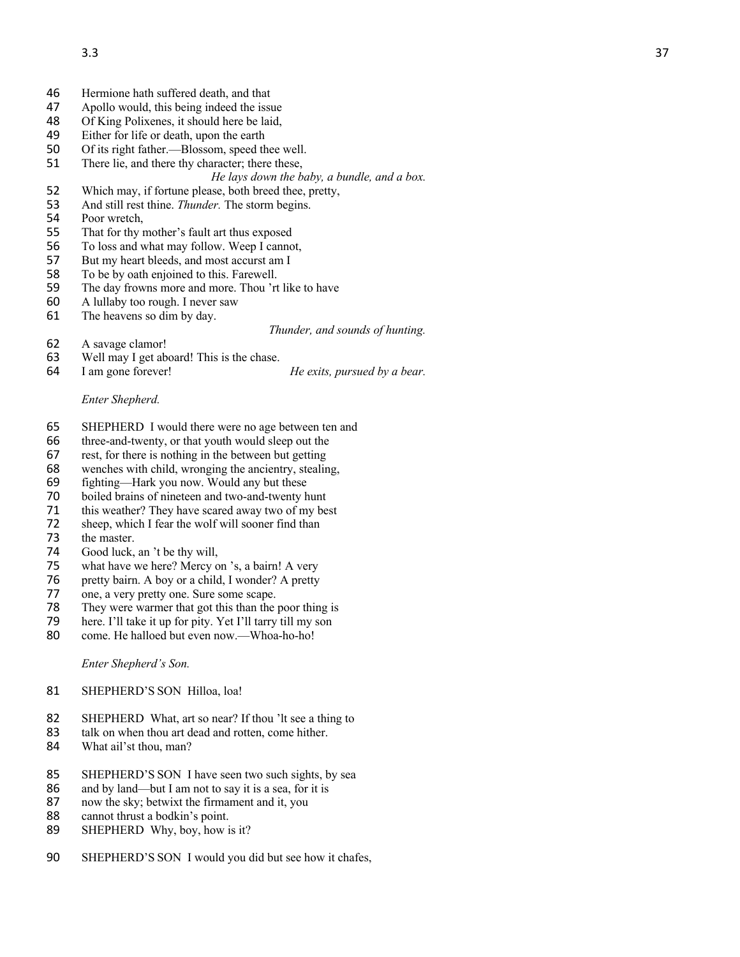- 46 Hermione hath suffered death, and that<br>47 Apollo would, this being indeed the issu
- 47 Apollo would, this being indeed the issue<br>48 Of King Polixenes, it should here be laid,
- Of King Polixenes, it should here be laid,
- 49 Either for life or death, upon the earth
- 50 Of its right father. —Blossom, speed thee well.
- 51 There lie, and there thy character; there these,
	- *He lays down the baby, a bundle, and a box.*
- 52 Which may, if fortune please, both breed thee, pretty,
- 53 And still rest thine. *Thunder.* The storm begins.
- 54 Poor wretch,
- 55 That for thy mother's fault art thus exposed
- 56 To loss and what may follow. Weep I cannot,
- 57 But my heart bleeds, and most accurst am I
- 58 To be by oath enjoined to this. Farewell.<br>59 The day frowns more and more. Thou 'rt
- The day frowns more and more. Thou 'rt like to have
- 60 A lullaby too rough. I never saw
- 61 The heavens so dim by day.

## *Thunder, and sounds of hunting.*

- 62 A savage clamor!<br>63 Well may I get ab
- 63 Well may I get aboard! This is the chase.<br>64 I am gone forever!
- 

He exits, pursued by a bear.

## *Enter Shepherd.*

- 65 SHEPHERD I would there were no age between ten and
- 66 three -and -twenty, or that youth would sleep out the
- 67 rest, for there is nothing in the between but getting
- 68 wenches with child, wronging the ancientry, stealing,
- 69 fighting —Hark you now. Would any but thes e
- 70 boiled brains of nineteen and two-and-twenty hunt
- 71 this weather? They have scared away two of my best
- 72 sheep, which I fear the wolf will sooner find than<br>73 the master.
- the master.
- 74 Good luck, an 't be thy will,
- 75 what have we here? Mercy on 's, a bairn! A very<br>76 pretty bairn. A boy or a child, I wonder? A pretty
- pretty bairn. A boy or a child, I wonder? A pretty
- 77 one, a very pretty one. Sure some scape.
- 78 They were warmer that got this than the poor thing is
- 79 here. I'll take it up for pity. Yet I'll tarry till my son
- 80 come. He halloed but even now.—Whoa-ho-ho!

*Enter Shepherd's Son.*

- 81 SHEPHERD'S SON Hilloa, loa!
- 82 SHEPHERD What, art so near? If thou 'lt see a thing to
- 83 talk on when thou art dead and rotten, come hither.<br>84 What ail'st thou, man?
- What ail'st thou, man?
- 85 SHEPHERD'S SON I have seen two such sights, by sea
- 86 and by land—but I am not to say it is a sea, for it is
- 87 now the sky; betwixt the firmament and it, you
- 88 cannot thrust a bodkin's point.<br>89 SHEPHERD Why, boy, how i
- SHEPHERD Why, boy, how is it?
- 90 SHEPHERD'S SON I would you did but see how it chafes,